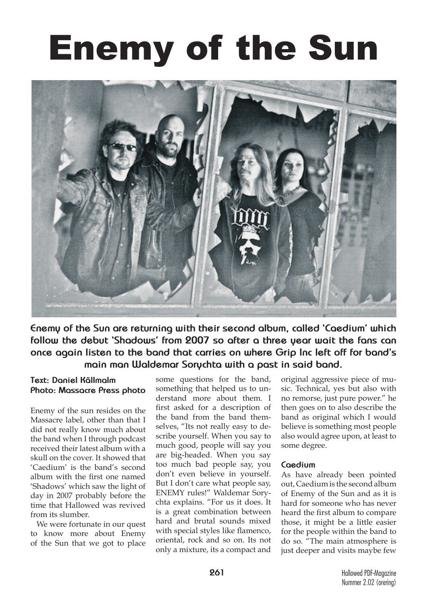## Enemy of the Sun



**Enemy of the Sun are returning with their second album, called 'Caedium' which follow the debut 'Shadows' from 2007 so after a three year wait the fans can once again listen to the band that carries on where Grip Inc left off for band's main man Waldemar Sorychta with a past in said band.**

## **Text: Daniel Källmalm Photo: Massacre Press photo**

Enemy of the sun resides on the Massacre label, other than that I did not really know much about the band when I through podcast received their latest album with a skull on the cover. It showed that 'Caedium' is the band's second album with the first one named 'Shadows' which saw the light of day in 2007 probably before the time that Hallowed was revived from its slumber.

We were fortunate in our quest to know more about Enemy of the Sun that we got to place

some questions for the band, something that helped us to understand more about them. I first asked for a description of the band from the band themselves, "Its not really easy to describe yourself. When you say to much good, people will say you are big-headed. When you say too much bad people say, you don't even believe in yourself. But I don't care what people say, ENEMY rules!" Waldemar Sorychta explains. "For us it does. It is a great combination between hard and brutal sounds mixed with special styles like flamenco, oriental, rock and so on. Its not only a mixture, its a compact and

original aggressive piece of music. Technical, yes but also with no remorse, just pure power." he then goes on to also describe the band as original which I would believe is something most people also would agree upon, at least to some degree.

## **Caedium**

As have already been pointed out, Caedium is the second album of Enemy of the Sun and as it is hard for someone who has never heard the first album to compare those, it might be a little easier for the people within the band to do so. "The main atmosphere is just deeper and visits maybe few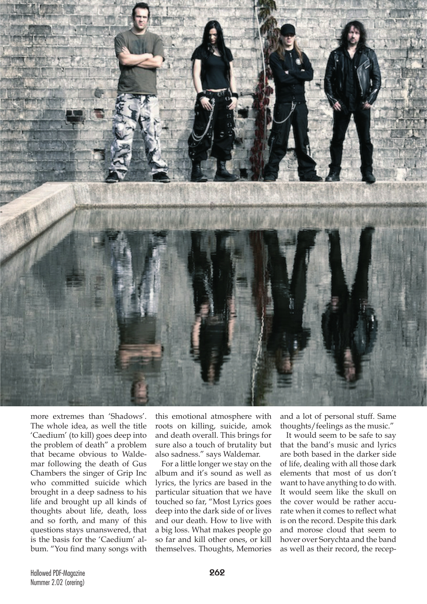

more extremes than 'Shadows'. The whole idea, as well the title 'Caedium' (to kill) goes deep into the problem of death" a problem that became obvious to Waldemar following the death of Gus Chambers the singer of Grip Inc who committed suicide which brought in a deep sadness to his life and brought up all kinds of thoughts about life, death, loss and so forth, and many of this questions stays unanswered, that is the basis for the 'Caedium' album. "You find many songs with

this emotional atmosphere with roots on killing, suicide, amok and death overall. This brings for sure also a touch of brutality but also sadness." says Waldemar.

For a little longer we stay on the album and it's sound as well as lyrics, the lyrics are based in the particular situation that we have touched so far, "Most Lyrics goes deep into the dark side of or lives and our death. How to live with a big loss. What makes people go so far and kill other ones, or kill themselves. Thoughts, Memories

and a lot of personal stuff. Same thoughts/feelings as the music."

It would seem to be safe to say that the band's music and lyrics are both based in the darker side of life, dealing with all those dark elements that most of us don't want to have anything to do with. It would seem like the skull on the cover would be rather accurate when it comes to reflect what is on the record. Despite this dark and morose cloud that seem to hover over Sorychta and the band as well as their record, the recep-